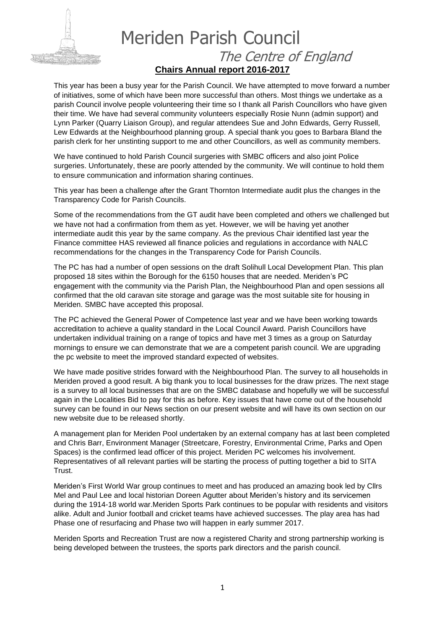

## Meriden Parish Council The Centre of England **Chairs Annual report 2016-2017**

This year has been a busy year for the Parish Council. We have attempted to move forward a number of initiatives, some of which have been more successful than others. Most things we undertake as a parish Council involve people volunteering their time so I thank all Parish Councillors who have given their time. We have had several community volunteers especially Rosie Nunn (admin support) and Lynn Parker (Quarry Liaison Group), and regular attendees Sue and John Edwards, Gerry Russell, Lew Edwards at the Neighbourhood planning group. A special thank you goes to Barbara Bland the parish clerk for her unstinting support to me and other Councillors, as well as community members.

We have continued to hold Parish Council surgeries with SMBC officers and also joint Police surgeries. Unfortunately, these are poorly attended by the community. We will continue to hold them to ensure communication and information sharing continues.

This year has been a challenge after the Grant Thornton Intermediate audit plus the changes in the Transparency Code for Parish Councils.

Some of the recommendations from the GT audit have been completed and others we challenged but we have not had a confirmation from them as yet. However, we will be having yet another intermediate audit this year by the same company. As the previous Chair identified last year the Finance committee HAS reviewed all finance policies and regulations in accordance with NALC recommendations for the changes in the Transparency Code for Parish Councils.

The PC has had a number of open sessions on the draft Solihull Local Development Plan. This plan proposed 18 sites within the Borough for the 6150 houses that are needed. Meriden's PC engagement with the community via the Parish Plan, the Neighbourhood Plan and open sessions all confirmed that the old caravan site storage and garage was the most suitable site for housing in Meriden. SMBC have accepted this proposal.

The PC achieved the General Power of Competence last year and we have been working towards accreditation to achieve a quality standard in the Local Council Award. Parish Councillors have undertaken individual training on a range of topics and have met 3 times as a group on Saturday mornings to ensure we can demonstrate that we are a competent parish council. We are upgrading the pc website to meet the improved standard expected of websites.

We have made positive strides forward with the Neighbourhood Plan. The survey to all households in Meriden proved a good result. A big thank you to local businesses for the draw prizes. The next stage is a survey to all local businesses that are on the SMBC database and hopefully we will be successful again in the Localities Bid to pay for this as before. Key issues that have come out of the household survey can be found in our News section on our present website and will have its own section on our new website due to be released shortly.

A management plan for Meriden Pool undertaken by an external company has at last been completed and Chris Barr, Environment Manager (Streetcare, Forestry, Environmental Crime, Parks and Open Spaces) is the confirmed lead officer of this project. Meriden PC welcomes his involvement. Representatives of all relevant parties will be starting the process of putting together a bid to SITA Trust.

Meriden's First World War group continues to meet and has produced an amazing book led by Cllrs Mel and Paul Lee and local historian Doreen Agutter about Meriden's history and its servicemen during the 1914-18 world war.Meriden Sports Park continues to be popular with residents and visitors alike. Adult and Junior football and cricket teams have achieved successes. The play area has had Phase one of resurfacing and Phase two will happen in early summer 2017.

Meriden Sports and Recreation Trust are now a registered Charity and strong partnership working is being developed between the trustees, the sports park directors and the parish council.